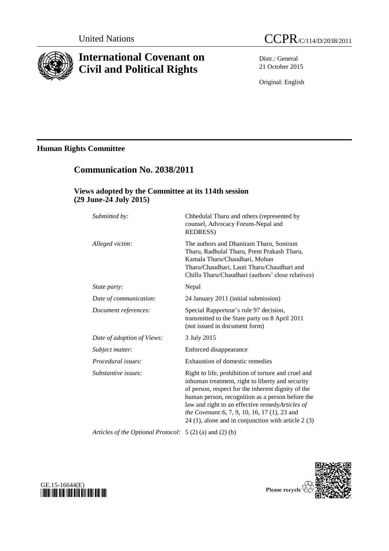

# **International Covenant on Civil and Political Rights**

Distr.: General 21 October 2015

Original: English

# **Human Rights Committee**

# **Communication No. 2038/2011**

## **Views adopted by the Committee at its 114th session (29 June-24 July 2015)**

| Submitted by:              | Chhedulal Tharu and others (represented by<br>counsel, Advocacy Forum-Nepal and<br><b>REDRESS)</b>                                                                                                                                                                                                                                                                             |
|----------------------------|--------------------------------------------------------------------------------------------------------------------------------------------------------------------------------------------------------------------------------------------------------------------------------------------------------------------------------------------------------------------------------|
| Alleged victim:            | The authors and Dhaniram Tharu, Soniram<br>Tharu, Radhulal Tharu, Prem Prakash Tharu,<br>Kamala Tharu/Chaudhari, Mohan<br>Tharu/Chaudhari, Lauti Tharu/Chaudhari and<br>Chillu Tharu/Chaudhari (authors' close relatives)                                                                                                                                                      |
| State party:               | Nepal                                                                                                                                                                                                                                                                                                                                                                          |
| Date of communication:     | 24 January 2011 (initial submission)                                                                                                                                                                                                                                                                                                                                           |
| Document references:       | Special Rapporteur's rule 97 decision,<br>transmitted to the State party on 8 April 2011<br>(not issued in document form)                                                                                                                                                                                                                                                      |
| Date of adoption of Views: | 3 July 2015                                                                                                                                                                                                                                                                                                                                                                    |
| Subject matter:            | Enforced disappearance                                                                                                                                                                                                                                                                                                                                                         |
| Procedural issues:         | Exhaustion of domestic remedies                                                                                                                                                                                                                                                                                                                                                |
| Substantive issues:        | Right to life, prohibition of torture and cruel and<br>inhuman treatment, right to liberty and security<br>of person, respect for the inherent dignity of the<br>human person, recognition as a person before the<br>law and right to an effective remedyArticles of<br>the Covenant: 6, 7, 9, 10, 16, 17 (1), 23 and<br>$24$ (1), alone and in conjunction with article 2 (3) |

*Articles of the Optional Protocol:* 5 (2) (a) and (2) (b)



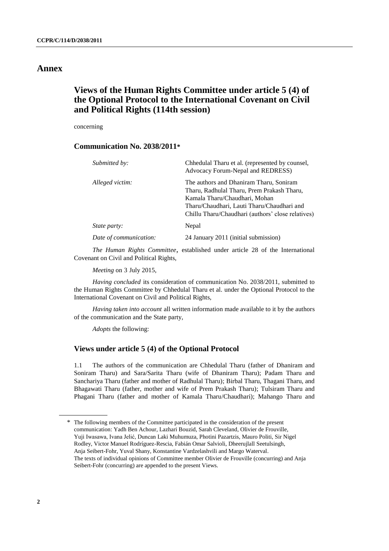## **Annex**

# **Views of the Human Rights Committee under article 5 (4) of the Optional Protocol to the International Covenant on Civil and Political Rights (114th session)**

concerning

### **Communication No. 2038/2011\***

| Submitted by:          | Chhedulal Tharu et al. (represented by counsel,<br>Advocacy Forum-Nepal and REDRESS)                                                                                                                                      |
|------------------------|---------------------------------------------------------------------------------------------------------------------------------------------------------------------------------------------------------------------------|
| Alleged victim:        | The authors and Dhaniram Tharu, Soniram<br>Tharu, Radhulal Tharu, Prem Prakash Tharu,<br>Kamala Tharu/Chaudhari, Mohan<br>Tharu/Chaudhari, Lauti Tharu/Chaudhari and<br>Chillu Tharu/Chaudhari (authors' close relatives) |
| State party:           | Nepal                                                                                                                                                                                                                     |
| Date of communication: | 24 January 2011 (initial submission)                                                                                                                                                                                      |

*The Human Rights Committee*, established under article 28 of the International Covenant on Civil and Political Rights,

*Meeting* on 3 July 2015,

*Having concluded* its consideration of communication No. 2038/2011, submitted to the Human Rights Committee by Chhedulal Tharu et al. under the Optional Protocol to the International Covenant on Civil and Political Rights,

*Having taken into account* all written information made available to it by the authors of the communication and the State party,

*Adopts* the following:

### **Views under article 5 (4) of the Optional Protocol**

1.1 The authors of the communication are Chhedulal Tharu (father of Dhaniram and Soniram Tharu) and Sara/Sarita Tharu (wife of Dhaniram Tharu); Padam Tharu and Sanchariya Tharu (father and mother of Radhulal Tharu); Birbal Tharu, Thagani Tharu, and Bhagawati Tharu (father, mother and wife of Prem Prakash Tharu); Tulsiram Tharu and Phagani Tharu (father and mother of Kamala Tharu/Chaudhari); Mahango Tharu and

<sup>\*</sup> The following members of the Committee participated in the consideration of the present communication: Yadh Ben Achour, Lazhari Bouzid, Sarah Cleveland, Olivier de Frouville, Yuji Iwasawa, Ivana Jelić, Duncan Laki Muhumuza, Photini Pazartzis, Mauro Politi, Sir Nigel Rodley, Victor Manuel Rodríguez-Rescia, Fabián Omar Salvioli, Dheerujlall Seetulsingh, Anja Seibert-Fohr, Yuval Shany, Konstantine Vardzelashvili and Margo Waterval. The texts of individual opinions of Committee member Olivier de Frouville (concurring) and Anja Seibert-Fohr (concurring) are appended to the present Views.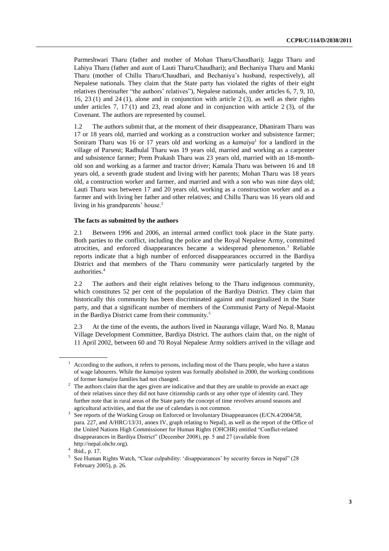Parmeshwari Tharu (father and mother of Mohan Tharu/Chaudhari); Jaggu Tharu and Lahiya Tharu (father and aunt of Lauti Tharu/Chaudhari); and Bechaniya Tharu and Manki Tharu (mother of Chillu Tharu/Chaudhari, and Bechaniya's husband, respectively), all Nepalese nationals. They claim that the State party has violated the rights of their eight relatives (hereinafter "the authors' relatives"), Nepalese nationals, under articles 6, 7, 9, 10, 16, 23 (1) and 24 (1), alone and in conjunction with article 2 (3), as well as their rights under articles 7, 17 (1) and 23, read alone and in conjunction with article 2 (3), of the Covenant. The authors are represented by counsel.

1.2 The authors submit that, at the moment of their disappearance, Dhaniram Tharu was 17 or 18 years old, married and working as a construction worker and subsistence farmer; Soniram Tharu was 16 or 17 years old and working as a *kamaiya*<sup>1</sup> for a landlord in the village of Parseni; Radhulal Tharu was 19 years old, married and working as a carpenter and subsistence farmer; Prem Prakash Tharu was 23 years old, married with an 18-monthold son and working as a farmer and tractor driver; Kamala Tharu was between 16 and 18 years old, a seventh grade student and living with her parents; Mohan Tharu was 18 years old, a construction worker and farmer, and married and with a son who was nine days old; Lauti Tharu was between 17 and 20 years old, working as a construction worker and as a farmer and with living her father and other relatives; and Chillu Tharu was 16 years old and living in his grandparents' house.<sup>2</sup>

#### **The facts as submitted by the authors**

<span id="page-2-0"></span>2.1 Between 1996 and 2006, an internal armed conflict took place in the State party. Both parties to the conflict, including the police and the Royal Nepalese Army, committed atrocities, and enforced disappearances became a widespread phenomenon.<sup>3</sup> Reliable reports indicate that a high number of enforced disappearances occurred in the Bardiya District and that members of the Tharu community were particularly targeted by the authorities.<sup>4</sup>

2.2 The authors and their eight relatives belong to the Tharu indigenous community, which constitutes 52 per cent of the population of the Bardiya District. They claim that historically this community has been discriminated against and marginalized in the State party, and that a significant number of members of the Communist Party of Nepal-Maoist in the Bardiya District came from their community.<sup>5</sup>

2.3 At the time of the events, the authors lived in Nauranga village, Ward No. 8, Manau Village Development Committee, Bardiya District. The authors claim that, on the night of 11 April 2002, between 60 and 70 Royal Nepalese Army soldiers arrived in the village and

<sup>1</sup> According to the authors, it refers to persons, including most of the Tharu people, who have a status of wage labourers. While the *kamaiya* system was formally abolished in 2000, the working conditions of former *kamaiya* families had not changed.

<sup>&</sup>lt;sup>2</sup> The authors claim that the ages given are indicative and that they are unable to provide an exact age of their relatives since they did not have citizenship cards or any other type of identity card. They further note that in rural areas of the State party the concept of time revolves around seasons and agricultural activities, and that the use of calendars is not common.

<sup>3</sup> See reports of the Working Group on Enforced or Involuntary Disappearances (E/CN.4/2004/58, para. 227, and A/HRC/13/31, annex IV, graph relating to Nepal), as well as the report of the Office of the United Nations High Commissioner for Human Rights (OHCHR) entitled "Conflict-related disappearances in Bardiya District" (December 2008), pp. 5 and 27 (available from [http://nepal.ohchr.org\)](http://nepal.ohchr.org/).

<sup>4</sup> Ibid., p. 17.

<sup>&</sup>lt;sup>5</sup> See Human Rights Watch, "Clear culpability: 'disappearances' by security forces in Nepal" (28 February 2005), p. 26.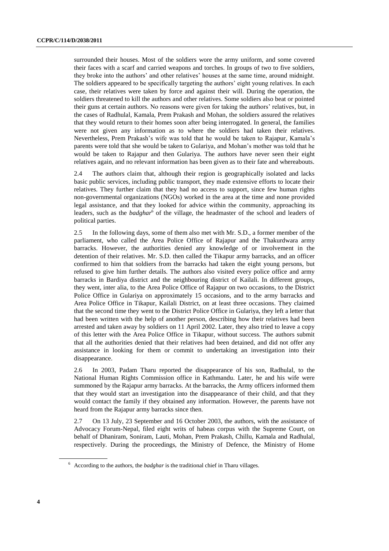surrounded their houses. Most of the soldiers wore the army uniform, and some covered their faces with a scarf and carried weapons and torches. In groups of two to five soldiers, they broke into the authors' and other relatives' houses at the same time, around midnight. The soldiers appeared to be specifically targeting the authors' eight young relatives. In each case, their relatives were taken by force and against their will. During the operation, the soldiers threatened to kill the authors and other relatives. Some soldiers also beat or pointed their guns at certain authors. No reasons were given for taking the authors' relatives, but, in the cases of Radhulal, Kamala, Prem Prakash and Mohan, the soldiers assured the relatives that they would return to their homes soon after being interrogated. In general, the families were not given any information as to where the soldiers had taken their relatives. Nevertheless, Prem Prakash's wife was told that he would be taken to Rajapur, Kamala's parents were told that she would be taken to Gulariya, and Mohan's mother was told that he would be taken to Rajapur and then Gulariya. The authors have never seen their eight relatives again, and no relevant information has been given as to their fate and whereabouts.

2.4 The authors claim that, although their region is geographically isolated and lacks basic public services, including public transport, they made extensive efforts to locate their relatives. They further claim that they had no access to support, since few human rights non-governmental organizations (NGOs) worked in the area at the time and none provided legal assistance, and that they looked for advice within the community, approaching its leaders, such as the *badghar*<sup>6</sup> of the village, the headmaster of the school and leaders of political parties.

2.5 In the following days, some of them also met with Mr. S.D., a former member of the parliament, who called the Area Police Office of Rajapur and the Thakurdwara army barracks. However, the authorities denied any knowledge of or involvement in the detention of their relatives. Mr. S.D. then called the Tikapur army barracks, and an officer confirmed to him that soldiers from the barracks had taken the eight young persons, but refused to give him further details. The authors also visited every police office and army barracks in Bardiya district and the neighbouring district of Kailali. In different groups, they went, inter alia, to the Area Police Office of Rajapur on two occasions, to the District Police Office in Gulariya on approximately 15 occasions, and to the army barracks and Area Police Office in Tikapur, Kailali District, on at least three occasions. They claimed that the second time they went to the District Police Office in Gulariya, they left a letter that had been written with the help of another person, describing how their relatives had been arrested and taken away by soldiers on 11 April 2002. Later, they also tried to leave a copy of this letter with the Area Police Office in Tikapur, without success. The authors submit that all the authorities denied that their relatives had been detained, and did not offer any assistance in looking for them or commit to undertaking an investigation into their disappearance.

2.6 In 2003, Padam Tharu reported the disappearance of his son, Radhulal, to the National Human Rights Commission office in Kathmandu. Later, he and his wife were summoned by the Rajapur army barracks. At the barracks, the Army officers informed them that they would start an investigation into the disappearance of their child, and that they would contact the family if they obtained any information. However, the parents have not heard from the Rajapur army barracks since then.

2.7 On 13 July, 23 September and 16 October 2003, the authors, with the assistance of Advocacy Forum-Nepal, filed eight writs of habeas corpus with the Supreme Court, on behalf of Dhaniram, Soniram, Lauti, Mohan, Prem Prakash, Chillu, Kamala and Radhulal, respectively. During the proceedings, the Ministry of Defence, the Ministry of Home

<sup>6</sup> According to the authors, the *badghar* is the traditional chief in Tharu villages.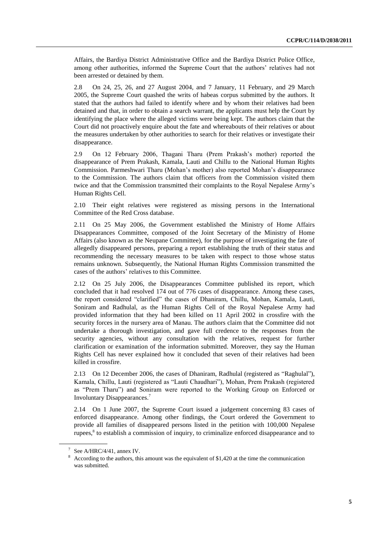Affairs, the Bardiya District Administrative Office and the Bardiya District Police Office, among other authorities, informed the Supreme Court that the authors' relatives had not been arrested or detained by them.

2.8 On 24, 25, 26, and 27 August 2004, and 7 January, 11 February, and 29 March 2005, the Supreme Court quashed the writs of habeas corpus submitted by the authors. It stated that the authors had failed to identify where and by whom their relatives had been detained and that, in order to obtain a search warrant, the applicants must help the Court by identifying the place where the alleged victims were being kept. The authors claim that the Court did not proactively enquire about the fate and whereabouts of their relatives or about the measures undertaken by other authorities to search for their relatives or investigate their disappearance.

2.9 On 12 February 2006, Thagani Tharu (Prem Prakash's mother) reported the disappearance of Prem Prakash, Kamala, Lauti and Chillu to the National Human Rights Commission. Parmeshwari Tharu (Mohan's mother) also reported Mohan's disappearance to the Commission. The authors claim that officers from the Commission visited them twice and that the Commission transmitted their complaints to the Royal Nepalese Army's Human Rights Cell.

2.10 Their eight relatives were registered as missing persons in the International Committee of the Red Cross database.

2.11 On 25 May 2006, the Government established the Ministry of Home Affairs Disappearances Committee, composed of the Joint Secretary of the Ministry of Home Affairs (also known as the Neupane Committee), for the purpose of investigating the fate of allegedly disappeared persons, preparing a report establishing the truth of their status and recommending the necessary measures to be taken with respect to those whose status remains unknown. Subsequently, the National Human Rights Commission transmitted the cases of the authors' relatives to this Committee.

2.12 On 25 July 2006, the Disappearances Committee published its report, which concluded that it had resolved 174 out of 776 cases of disappearance. Among these cases, the report considered "clarified" the cases of Dhaniram, Chillu, Mohan, Kamala, Lauti, Soniram and Radhulal, as the Human Rights Cell of the Royal Nepalese Army had provided information that they had been killed on 11 April 2002 in crossfire with the security forces in the nursery area of Manau. The authors claim that the Committee did not undertake a thorough investigation, and gave full credence to the responses from the security agencies, without any consultation with the relatives, request for further clarification or examination of the information submitted. Moreover, they say the Human Rights Cell has never explained how it concluded that seven of their relatives had been killed in crossfire.

2.13 On 12 December 2006, the cases of Dhaniram, Radhulal (registered as "Raghulal"), Kamala, Chillu, Lauti (registered as "Lauti Chaudhari"), Mohan, Prem Prakash (registered as "Prem Tharu") and Soniram were reported to the Working Group on Enforced or Involuntary Disappearances. 7

2.14 On 1 June 2007, the Supreme Court issued a judgement concerning 83 cases of enforced disappearance. Among other findings, the Court ordered the Government to provide all families of disappeared persons listed in the petition with 100,000 Nepalese rupees, 8 to establish a commission of inquiry, to criminalize enforced disappearance and to

<sup>7</sup> See A/HRC/4/41, annex IV.

<sup>&</sup>lt;sup>8</sup> According to the authors, this amount was the equivalent of \$1,420 at the time the communication was submitted.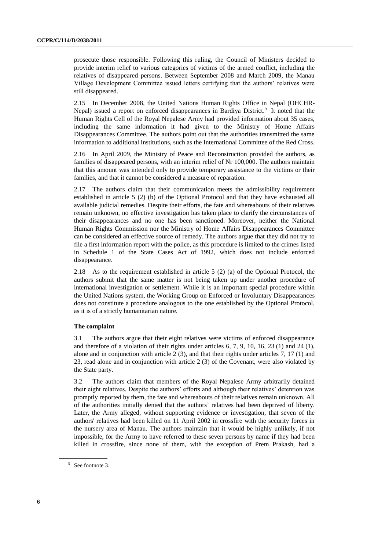prosecute those responsible. Following this ruling, the Council of Ministers decided to provide interim relief to various categories of victims of the armed conflict, including the relatives of disappeared persons. Between September 2008 and March 2009, the Manau Village Development Committee issued letters certifying that the authors' relatives were still disappeared.

2.15 In December 2008, the United Nations Human Rights Office in Nepal (OHCHR-Nepal) issued a report on enforced disappearances in Bardiya District.<sup>9</sup> It noted that the Human Rights Cell of the Royal Nepalese Army had provided information about 35 cases, including the same information it had given to the Ministry of Home Affairs Disappearances Committee. The authors point out that the authorities transmitted the same information to additional institutions, such as the International Committee of the Red Cross.

2.16 In April 2009, the Ministry of Peace and Reconstruction provided the authors, as families of disappeared persons, with an interim relief of Nr 100,000. The authors maintain that this amount was intended only to provide temporary assistance to the victims or their families, and that it cannot be considered a measure of reparation.

2.17 The authors claim that their communication meets the admissibility requirement established in article 5 (2) (b) of the Optional Protocol and that they have exhausted all available judicial remedies. Despite their efforts, the fate and whereabouts of their relatives remain unknown, no effective investigation has taken place to clarify the circumstances of their disappearances and no one has been sanctioned. Moreover, neither the National Human Rights Commission nor the Ministry of Home Affairs Disappearances Committee can be considered an effective source of remedy. The authors argue that they did not try to file a first information report with the police, as this procedure is limited to the crimes listed in Schedule 1 of the State Cases Act of 1992, which does not include enforced disappearance.

2.18 As to the requirement established in article 5 (2) (a) of the Optional Protocol, the authors submit that the same matter is not being taken up under another procedure of international investigation or settlement. While it is an important special procedure within the United Nations system, the Working Group on Enforced or Involuntary Disappearances does not constitute a procedure analogous to the one established by the Optional Protocol, as it is of a strictly humanitarian nature.

#### **The complaint**

3.1 The authors argue that their eight relatives were victims of enforced disappearance and therefore of a violation of their rights under articles 6, 7, 9, 10, 16, 23 (1) and 24 (1), alone and in conjunction with article  $2(3)$ , and that their rights under articles 7, 17 (1) and 23, read alone and in conjunction with article 2 (3) of the Covenant, were also violated by the State party.

3.2 The authors claim that members of the Royal Nepalese Army arbitrarily detained their eight relatives. Despite the authors' efforts and although their relatives' detention was promptly reported by them, the fate and whereabouts of their relatives remain unknown. All of the authorities initially denied that the authors' relatives had been deprived of liberty. Later, the Army alleged, without supporting evidence or investigation, that seven of the authors' relatives had been killed on 11 April 2002 in crossfire with the security forces in the nursery area of Manau. The authors maintain that it would be highly unlikely, if not impossible, for the Army to have referred to these seven persons by name if they had been killed in crossfire, since none of them, with the exception of Prem Prakash, had a

<sup>&</sup>lt;sup>9</sup> See footnote [3.](#page-2-0)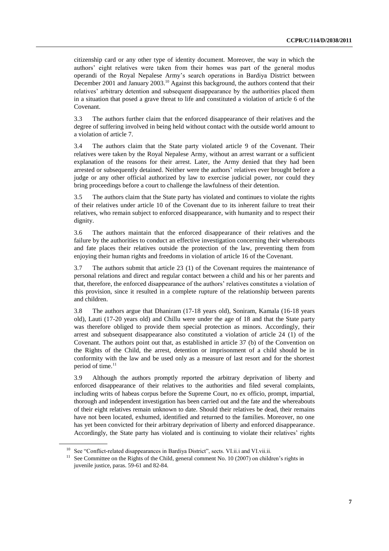citizenship card or any other type of identity document. Moreover, the way in which the authors' eight relatives were taken from their homes was part of the general modus operandi of the Royal Nepalese Army's search operations in Bardiya District between December 2001 and January 2003.<sup>10</sup> Against this background, the authors contend that their relatives' arbitrary detention and subsequent disappearance by the authorities placed them in a situation that posed a grave threat to life and constituted a violation of article 6 of the Covenant.

3.3 The authors further claim that the enforced disappearance of their relatives and the degree of suffering involved in being held without contact with the outside world amount to a violation of article 7.

3.4 The authors claim that the State party violated article 9 of the Covenant. Their relatives were taken by the Royal Nepalese Army, without an arrest warrant or a sufficient explanation of the reasons for their arrest. Later, the Army denied that they had been arrested or subsequently detained. Neither were the authors' relatives ever brought before a judge or any other official authorized by law to exercise judicial power, nor could they bring proceedings before a court to challenge the lawfulness of their detention.

3.5 The authors claim that the State party has violated and continues to violate the rights of their relatives under article 10 of the Covenant due to its inherent failure to treat their relatives, who remain subject to enforced disappearance, with humanity and to respect their dignity.

3.6 The authors maintain that the enforced disappearance of their relatives and the failure by the authorities to conduct an effective investigation concerning their whereabouts and fate places their relatives outside the protection of the law, preventing them from enjoying their human rights and freedoms in violation of article 16 of the Covenant.

3.7 The authors submit that article 23 (1) of the Covenant requires the maintenance of personal relations and direct and regular contact between a child and his or her parents and that, therefore, the enforced disappearance of the authors' relatives constitutes a violation of this provision, since it resulted in a complete rupture of the relationship between parents and children.

3.8 The authors argue that Dhaniram (17-18 years old), Soniram, Kamala (16-18 years old), Lauti (17-20 years old) and Chillu were under the age of 18 and that the State party was therefore obliged to provide them special protection as minors. Accordingly, their arrest and subsequent disappearance also constituted a violation of article 24 (1) of the Covenant. The authors point out that, as established in article 37 (b) of the Convention on the Rights of the Child, the arrest, detention or imprisonment of a child should be in conformity with the law and be used only as a measure of last resort and for the shortest period of time.<sup>11</sup>

3.9 Although the authors promptly reported the arbitrary deprivation of liberty and enforced disappearance of their relatives to the authorities and filed several complaints, including writs of habeas corpus before the Supreme Court, no ex officio, prompt, impartial, thorough and independent investigation has been carried out and the fate and the whereabouts of their eight relatives remain unknown to date. Should their relatives be dead, their remains have not been located, exhumed, identified and returned to the families. Moreover, no one has yet been convicted for their arbitrary deprivation of liberty and enforced disappearance. Accordingly, the State party has violated and is continuing to violate their relatives' rights

<sup>&</sup>lt;sup>10</sup> See "Conflict-related disappearances in Bardiya District", sects. VI.ii.i and VI.vii.ii.

<sup>&</sup>lt;sup>11</sup> See Committee on the Rights of the Child, general comment No. 10 (2007) on children's rights in juvenile justice, paras. 59-61 and 82-84.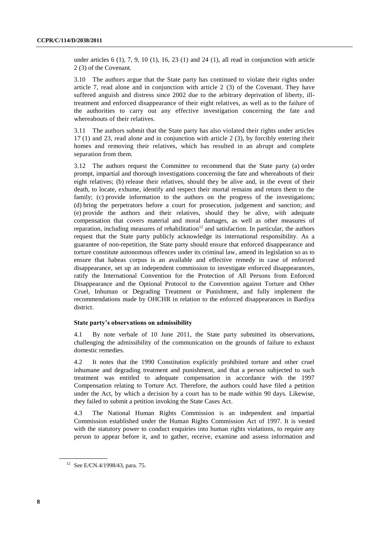under articles  $6$  (1),  $7$ ,  $9$ ,  $10$  (1),  $16$ ,  $23$  (1) and  $24$  (1), all read in conjunction with article 2 (3) of the Covenant.

3.10 The authors argue that the State party has continued to violate their rights under article 7, read alone and in conjunction with article 2 (3) of the Covenant. They have suffered anguish and distress since 2002 due to the arbitrary deprivation of liberty, illtreatment and enforced disappearance of their eight relatives, as well as to the failure of the authorities to carry out any effective investigation concerning the fate and whereabouts of their relatives.

3.11 The authors submit that the State party has also violated their rights under articles 17 (1) and 23, read alone and in conjunction with article 2 (3), by forcibly entering their homes and removing their relatives, which has resulted in an abrupt and complete separation from them.

3.12 The authors request the Committee to recommend that the State party (a) order prompt, impartial and thorough investigations concerning the fate and whereabouts of their eight relatives; (b) release their relatives, should they be alive and, in the event of their death, to locate, exhume, identify and respect their mortal remains and return them to the family; (c) provide information to the authors on the progress of the investigations; (d) bring the perpetrators before a court for prosecution, judgement and sanction; and (e) provide the authors and their relatives, should they be alive, with adequate compensation that covers material and moral damages, as well as other measures of reparation, including measures of rehabilitation<sup>12</sup> and satisfaction. In particular, the authors request that the State party publicly acknowledge its international responsibility. As a guarantee of non-repetition, the State party should ensure that enforced disappearance and torture constitute autonomous offences under its criminal law, amend its legislation so as to ensure that habeas corpus is an available and effective remedy in case of enforced disappearance, set up an independent commission to investigate enforced disappearances, ratify the International Convention for the Protection of All Persons from Enforced Disappearance and the Optional Protocol to the Convention against Torture and Other Cruel, Inhuman or Degrading Treatment or Punishment, and fully implement the recommendations made by OHCHR in relation to the enforced disappearances in Bardiya district.

#### **State party's observations on admissibility**

4.1 By note verbale of 10 June 2011, the State party submitted its observations, challenging the admissibility of the communication on the grounds of failure to exhaust domestic remedies.

4.2 It notes that the 1990 Constitution explicitly prohibited torture and other cruel inhumane and degrading treatment and punishment, and that a person subjected to such treatment was entitled to adequate compensation in accordance with the 1997 Compensation relating to Torture Act. Therefore, the authors could have filed a petition under the Act, by which a decision by a court has to be made within 90 days. Likewise, they failed to submit a petition invoking the State Cases Act.

4.3 The National Human Rights Commission is an independent and impartial Commission established under the Human Rights Commission Act of 1997. It is vested with the statutory power to conduct enquiries into human rights violations, to require any person to appear before it, and to gather, receive, examine and assess information and

<sup>12</sup> See E/CN.4/1998/43, para. 75.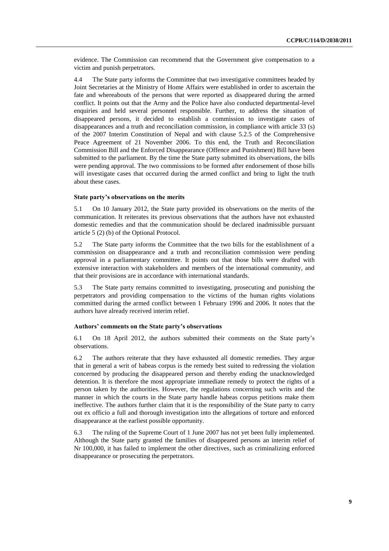evidence. The Commission can recommend that the Government give compensation to a victim and punish perpetrators.

4.4 The State party informs the Committee that two investigative committees headed by Joint Secretaries at the Ministry of Home Affairs were established in order to ascertain the fate and whereabouts of the persons that were reported as disappeared during the armed conflict. It points out that the Army and the Police have also conducted departmental-level enquiries and held several personnel responsible. Further, to address the situation of disappeared persons, it decided to establish a commission to investigate cases of disappearances and a truth and reconciliation commission, in compliance with article 33 (s) of the 2007 Interim Constitution of Nepal and with clause 5.2.5 of the Comprehensive Peace Agreement of 21 November 2006. To this end, the Truth and Reconciliation Commission Bill and the Enforced Disappearance (Offence and Punishment) Bill have been submitted to the parliament. By the time the State party submitted its observations, the bills were pending approval. The two commissions to be formed after endorsement of those bills will investigate cases that occurred during the armed conflict and bring to light the truth about these cases.

#### **State party's observations on the merits**

5.1 On 10 January 2012, the State party provided its observations on the merits of the communication. It reiterates its previous observations that the authors have not exhausted domestic remedies and that the communication should be declared inadmissible pursuant article 5 (2) (b) of the Optional Protocol.

5.2 The State party informs the Committee that the two bills for the establishment of a commission on disappearance and a truth and reconciliation commission were pending approval in a parliamentary committee. It points out that those bills were drafted with extensive interaction with stakeholders and members of the international community, and that their provisions are in accordance with international standards.

5.3 The State party remains committed to investigating, prosecuting and punishing the perpetrators and providing compensation to the victims of the human rights violations committed during the armed conflict between 1 February 1996 and 2006. It notes that the authors have already received interim relief.

#### **Authors' comments on the State party's observations**

6.1 On 18 April 2012, the authors submitted their comments on the State party's observations.

6.2 The authors reiterate that they have exhausted all domestic remedies. They argue that in general a writ of habeas corpus is the remedy best suited to redressing the violation concerned by producing the disappeared person and thereby ending the unacknowledged detention. It is therefore the most appropriate immediate remedy to protect the rights of a person taken by the authorities. However, the regulations concerning such writs and the manner in which the courts in the State party handle habeas corpus petitions make them ineffective. The authors further claim that it is the responsibility of the State party to carry out ex officio a full and thorough investigation into the allegations of torture and enforced disappearance at the earliest possible opportunity.

6.3 The ruling of the Supreme Court of 1 June 2007 has not yet been fully implemented. Although the State party granted the families of disappeared persons an interim relief of Nr 100,000, it has failed to implement the other directives, such as criminalizing enforced disappearance or prosecuting the perpetrators.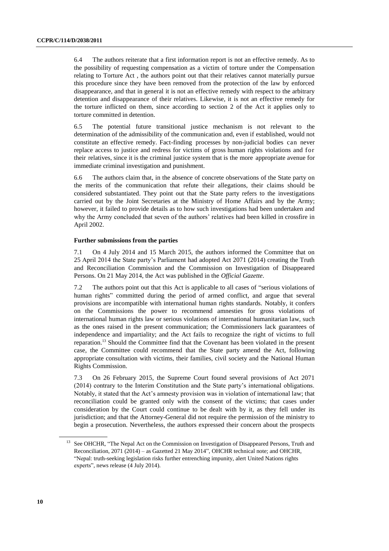6.4 The authors reiterate that a first information report is not an effective remedy. As to the possibility of requesting compensation as a victim of torture under the Compensation relating to Torture Act , the authors point out that their relatives cannot materially pursue this procedure since they have been removed from the protection of the law by enforced disappearance, and that in general it is not an effective remedy with respect to the arbitrary detention and disappearance of their relatives. Likewise, it is not an effective remedy for the torture inflicted on them, since according to section 2 of the Act it applies only to torture committed in detention.

6.5 The potential future transitional justice mechanism is not relevant to the determination of the admissibility of the communication and, even if established, would not constitute an effective remedy. Fact-finding processes by non-judicial bodies can never replace access to justice and redress for victims of gross human rights violations and for their relatives, since it is the criminal justice system that is the more appropriate avenue for immediate criminal investigation and punishment.

6.6 The authors claim that, in the absence of concrete observations of the State party on the merits of the communication that refute their allegations, their claims should be considered substantiated. They point out that the State party refers to the investigations carried out by the Joint Secretaries at the Ministry of Home Affairs and by the Army; however, it failed to provide details as to how such investigations had been undertaken and why the Army concluded that seven of the authors' relatives had been killed in crossfire in April 2002.

#### **Further submissions from the parties**

7.1 On 4 July 2014 and 15 March 2015, the authors informed the Committee that on 25 April 2014 the State party's Parliament had adopted Act 2071 (2014) creating the Truth and Reconciliation Commission and the Commission on Investigation of Disappeared Persons. On 21 May 2014, the Act was published in the *Official Gazette*.

7.2 The authors point out that this Act is applicable to all cases of "serious violations of human rights" committed during the period of armed conflict, and argue that several provisions are incompatible with international human rights standards. Notably, it confers on the Commissions the power to recommend amnesties for gross violations of international human rights law or serious violations of international humanitarian law, such as the ones raised in the present communication; the Commissioners lack guarantees of independence and impartiality; and the Act fails to recognize the right of victims to full reparation.<sup>13</sup> Should the Committee find that the Covenant has been violated in the present case, the Committee could recommend that the State party amend the Act, following appropriate consultation with victims, their families, civil society and the National Human Rights Commission.

7.3 On 26 February 2015, the Supreme Court found several provisions of Act 2071 (2014) contrary to the Interim Constitution and the State party's international obligations. Notably, it stated that the Act's amnesty provision was in violation of international law; that reconciliation could be granted only with the consent of the victims; that cases under consideration by the Court could continue to be dealt with by it, as they fell under its jurisdiction; and that the Attorney-General did not require the permission of the ministry to begin a prosecution. Nevertheless, the authors expressed their concern about the prospects

<sup>&</sup>lt;sup>13</sup> See OHCHR, "The Nepal Act on the Commission on Investigation of Disappeared Persons, Truth and Reconciliation, 2071 (2014) – as Gazetted 21 May 2014", OHCHR technical note; and OHCHR, "Nepal: truth-seeking legislation risks further entrenching impunity, alert United Nations rights experts", news release (4 July 2014).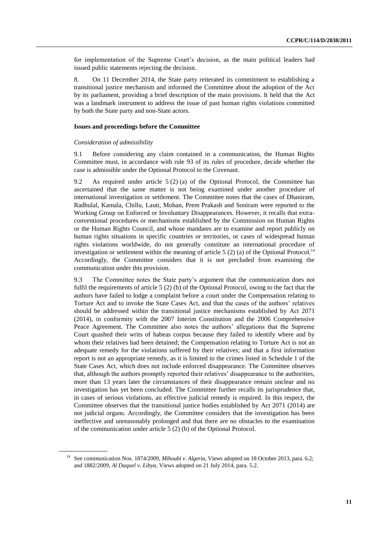for implementation of the Supreme Court's decision, as the main political leaders had issued public statements rejecting the decision.

8. On 11 December 2014, the State party reiterated its commitment to establishing a transitional justice mechanism and informed the Committee about the adoption of the Act by its parliament, providing a brief description of the main provisions. It held that the Act was a landmark instrument to address the issue of past human rights violations committed by both the State party and non-State actors.

#### **Issues and proceedings before the Committee**

#### *Consideration of admissibility*

9.1 Before considering any claim contained in a communication, the Human Rights Committee must, in accordance with rule 93 of its rules of procedure, decide whether the case is admissible under the Optional Protocol to the Covenant.

9.2 As required under article 5 (2) (a) of the Optional Protocol, the Committee has ascertained that the same matter is not being examined under another procedure of international investigation or settlement. The Committee notes that the cases of Dhaniram, Radhulal, Kamala, Chillu, Lauti, Mohan, Prem Prakash and Soniram were reported to the Working Group on Enforced or Involuntary Disappearances. However, it recalls that extraconventional procedures or mechanisms established by the Commission on Human Rights or the Human Rights Council, and whose mandates are to examine and report publicly on human rights situations in specific countries or territories, or cases of widespread human rights violations worldwide, do not generally constitute an international procedure of investigation or settlement within the meaning of article 5  $(2)$  (a) of the Optional Protocol.<sup>14</sup> Accordingly, the Committee considers that it is not precluded from examining the communication under this provision.

9.3 The Committee notes the State party's argument that the communication does not fulfil the requirements of article 5 (2) (b) of the Optional Protocol, owing to the fact that the authors have failed to lodge a complaint before a court under the Compensation relating to Torture Act and to invoke the State Cases Act, and that the cases of the authors' relatives should be addressed within the transitional justice mechanisms established by Act 2071 (2014), in conformity with the 2007 Interim Constitution and the 2006 Comprehensive Peace Agreement. The Committee also notes the authors' allegations that the Supreme Court quashed their writs of habeas corpus because they failed to identify where and by whom their relatives had been detained; the Compensation relating to Torture Act is not an adequate remedy for the violations suffered by their relatives; and that a first information report is not an appropriate remedy, as it is limited to the crimes listed in Schedule 1 of the State Cases Act, which does not include enforced disappearance. The Committee observes that, although the authors promptly reported their relatives' disappearance to the authorities, more than 13 years later the circumstances of their disappearance remain unclear and no investigation has yet been concluded. The Committee further recalls its jurisprudence that, in cases of serious violations, an effective judicial remedy is required. In this respect, the Committee observes that the transitional justice bodies established by Act 2071 (2014) are not judicial organs. Accordingly, the Committee considers that the investigation has been ineffective and unreasonably prolonged and that there are no obstacles to the examination of the communication under article 5 (2) (b) of the Optional Protocol.

<sup>&</sup>lt;sup>14</sup> See communication Nos. 1874/2009, *Mihoubi v. Algeria*, Views adopted on 18 October 2013, para. 6.2; and 1882/2009, *Al Daquel v. Libya*, Views adopted on 21 July 2014, para. 5.2.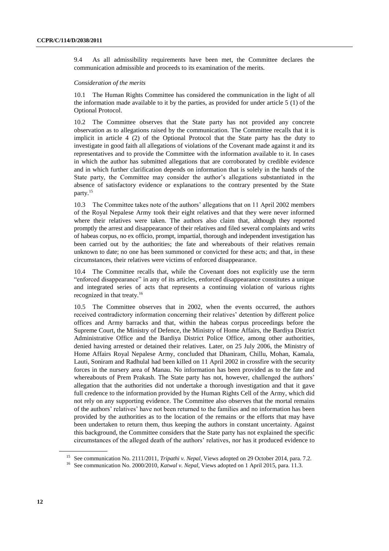9.4 As all admissibility requirements have been met, the Committee declares the communication admissible and proceeds to its examination of the merits.

#### *Consideration of the merits*

10.1 The Human Rights Committee has considered the communication in the light of all the information made available to it by the parties, as provided for under article 5 (1) of the Optional Protocol.

10.2 The Committee observes that the State party has not provided any concrete observation as to allegations raised by the communication. The Committee recalls that it is implicit in article 4 (2) of the Optional Protocol that the State party has the duty to investigate in good faith all allegations of violations of the Covenant made against it and its representatives and to provide the Committee with the information available to it. In cases in which the author has submitted allegations that are corroborated by credible evidence and in which further clarification depends on information that is solely in the hands of the State party, the Committee may consider the author's allegations substantiated in the absence of satisfactory evidence or explanations to the contrary presented by the State party.<sup>15</sup>

10.3 The Committee takes note of the authors' allegations that on 11 April 2002 members of the Royal Nepalese Army took their eight relatives and that they were never informed where their relatives were taken. The authors also claim that, although they reported promptly the arrest and disappearance of their relatives and filed several complaints and writs of habeas corpus, no ex officio, prompt, impartial, thorough and independent investigation has been carried out by the authorities; the fate and whereabouts of their relatives remain unknown to date; no one has been summoned or convicted for these acts; and that, in these circumstances, their relatives were victims of enforced disappearance.

10.4 The Committee recalls that, while the Covenant does not explicitly use the term "enforced disappearance" in any of its articles, enforced disappearance constitutes a unique and integrated series of acts that represents a continuing violation of various rights recognized in that treaty.<sup>16</sup>

10.5 The Committee observes that in 2002, when the events occurred, the authors received contradictory information concerning their relatives' detention by different police offices and Army barracks and that, within the habeas corpus proceedings before the Supreme Court, the Ministry of Defence, the Ministry of Home Affairs, the Bardiya District Administrative Office and the Bardiya District Police Office, among other authorities, denied having arrested or detained their relatives. Later, on 25 July 2006, the Ministry of Home Affairs Royal Nepalese Army, concluded that Dhaniram, Chillu, Mohan, Kamala, Lauti, Soniram and Radhulal had been killed on 11 April 2002 in crossfire with the security forces in the nursery area of Manau. No information has been provided as to the fate and whereabouts of Prem Prakash. The State party has not, however, challenged the authors' allegation that the authorities did not undertake a thorough investigation and that it gave full credence to the information provided by the Human Rights Cell of the Army, which did not rely on any supporting evidence. The Committee also observes that the mortal remains of the authors' relatives' have not been returned to the families and no information has been provided by the authorities as to the location of the remains or the efforts that may have been undertaken to return them, thus keeping the authors in constant uncertainty. Against this background, the Committee considers that the State party has not explained the specific circumstances of the alleged death of the authors' relatives, nor has it produced evidence to

<sup>&</sup>lt;sup>15</sup> See communication No. 2111/2011, *Tripathi v. Nepal*, Views adopted on 29 October 2014, para. 7.2.

<sup>&</sup>lt;sup>16</sup> See communication No. 2000/2010, *Katwal v. Nepal*, Views adopted on 1 April 2015, para. 11.3.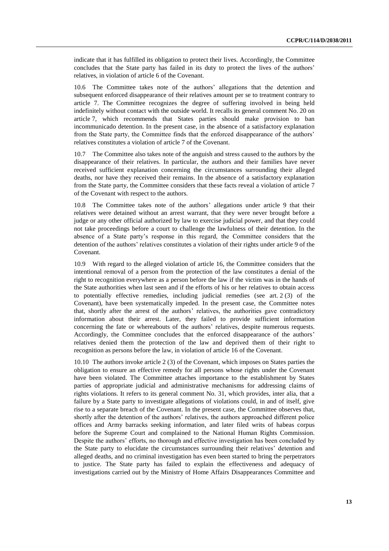indicate that it has fulfilled its obligation to protect their lives. Accordingly, the Committee concludes that the State party has failed in its duty to protect the lives of the authors' relatives, in violation of article 6 of the Covenant.

10.6 The Committee takes note of the authors' allegations that the detention and subsequent enforced disappearance of their relatives amount per se to treatment contrary to article 7. The Committee recognizes the degree of suffering involved in being held indefinitely without contact with the outside world. It recalls its general comment No. 20 on article 7, which recommends that States parties should make provision to ban incommunicado detention. In the present case, in the absence of a satisfactory explanation from the State party, the Committee finds that the enforced disappearance of the authors' relatives constitutes a violation of article 7 of the Covenant.

The Committee also takes note of the anguish and stress caused to the authors by the disappearance of their relatives. In particular, the authors and their families have never received sufficient explanation concerning the circumstances surrounding their alleged deaths, nor have they received their remains. In the absence of a satisfactory explanation from the State party, the Committee considers that these facts reveal a violation of article 7 of the Covenant with respect to the authors.

10.8 The Committee takes note of the authors' allegations under article 9 that their relatives were detained without an arrest warrant, that they were never brought before a judge or any other official authorized by law to exercise judicial power, and that they could not take proceedings before a court to challenge the lawfulness of their detention. In the absence of a State party's response in this regard, the Committee considers that the detention of the authors' relatives constitutes a violation of their rights under article 9 of the Covenant.

10.9 With regard to the alleged violation of article 16, the Committee considers that the intentional removal of a person from the protection of the law constitutes a denial of the right to recognition everywhere as a person before the law if the victim was in the hands of the State authorities when last seen and if the efforts of his or her relatives to obtain access to potentially effective remedies, including judicial remedies (see art. 2 (3) of the Covenant), have been systematically impeded. In the present case, the Committee notes that, shortly after the arrest of the authors' relatives, the authorities gave contradictory information about their arrest. Later, they failed to provide sufficient information concerning the fate or whereabouts of the authors' relatives, despite numerous requests. Accordingly, the Committee concludes that the enforced disappearance of the authors' relatives denied them the protection of the law and deprived them of their right to recognition as persons before the law, in violation of article 16 of the Covenant.

10.10 The authors invoke article 2 (3) of the Covenant, which imposes on States parties the obligation to ensure an effective remedy for all persons whose rights under the Covenant have been violated. The Committee attaches importance to the establishment by States parties of appropriate judicial and administrative mechanisms for addressing claims of rights violations. It refers to its general comment No. 31, which provides, inter alia, that a failure by a State party to investigate allegations of violations could, in and of itself, give rise to a separate breach of the Covenant. In the present case, the Committee observes that, shortly after the detention of the authors' relatives, the authors approached different police offices and Army barracks seeking information, and later filed writs of habeas corpus before the Supreme Court and complained to the National Human Rights Commission. Despite the authors' efforts, no thorough and effective investigation has been concluded by the State party to elucidate the circumstances surrounding their relatives' detention and alleged deaths, and no criminal investigation has even been started to bring the perpetrators to justice. The State party has failed to explain the effectiveness and adequacy of investigations carried out by the Ministry of Home Affairs Disappearances Committee and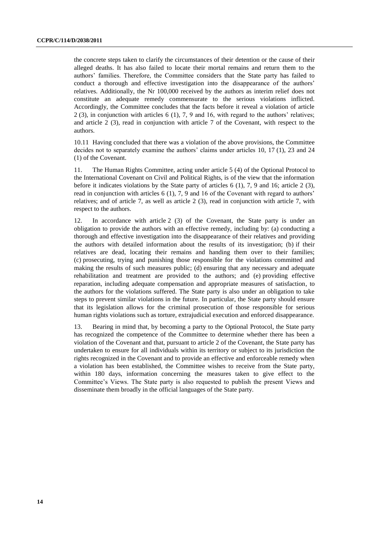the concrete steps taken to clarify the circumstances of their detention or the cause of their alleged deaths. It has also failed to locate their mortal remains and return them to the authors' families. Therefore, the Committee considers that the State party has failed to conduct a thorough and effective investigation into the disappearance of the authors' relatives. Additionally, the Nr 100,000 received by the authors as interim relief does not constitute an adequate remedy commensurate to the serious violations inflicted. Accordingly, the Committee concludes that the facts before it reveal a violation of article 2 (3), in conjunction with articles 6 (1), 7, 9 and 16, with regard to the authors' relatives; and article 2 (3), read in conjunction with article 7 of the Covenant, with respect to the authors.

10.11 Having concluded that there was a violation of the above provisions, the Committee decides not to separately examine the authors' claims under articles 10, 17 (1), 23 and 24 (1) of the Covenant.

11. The Human Rights Committee, acting under article 5 (4) of the Optional Protocol to the International Covenant on Civil and Political Rights, is of the view that the information before it indicates violations by the State party of articles 6 (1), 7, 9 and 16; article 2 (3), read in conjunction with articles 6 (1), 7, 9 and 16 of the Covenant with regard to authors' relatives; and of article 7, as well as article 2 (3), read in conjunction with article 7, with respect to the authors.

12. In accordance with article 2 (3) of the Covenant, the State party is under an obligation to provide the authors with an effective remedy, including by: (a) conducting a thorough and effective investigation into the disappearance of their relatives and providing the authors with detailed information about the results of its investigation; (b) if their relatives are dead, locating their remains and handing them over to their families; (c) prosecuting, trying and punishing those responsible for the violations committed and making the results of such measures public; (d) ensuring that any necessary and adequate rehabilitation and treatment are provided to the authors; and (e) providing effective reparation, including adequate compensation and appropriate measures of satisfaction, to the authors for the violations suffered. The State party is also under an obligation to take steps to prevent similar violations in the future. In particular, the State party should ensure that its legislation allows for the criminal prosecution of those responsible for serious human rights violations such as torture, extrajudicial execution and enforced disappearance.

13. Bearing in mind that, by becoming a party to the Optional Protocol, the State party has recognized the competence of the Committee to determine whether there has been a violation of the Covenant and that, pursuant to article 2 of the Covenant, the State party has undertaken to ensure for all individuals within its territory or subject to its jurisdiction the rights recognized in the Covenant and to provide an effective and enforceable remedy when a violation has been established, the Committee wishes to receive from the State party, within 180 days, information concerning the measures taken to give effect to the Committee's Views. The State party is also requested to publish the present Views and disseminate them broadly in the official languages of the State party.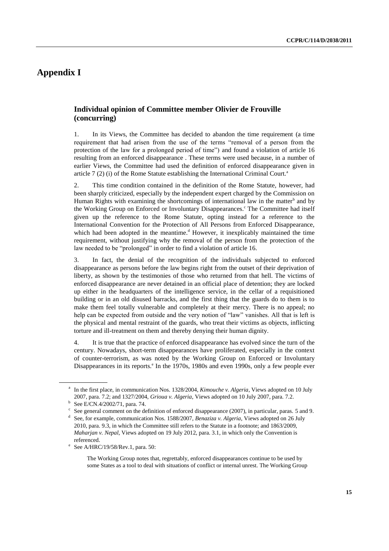# **Appendix I**

## **Individual opinion of Committee member Olivier de Frouville (concurring)**

1. In its Views, the Committee has decided to abandon the time requirement (a time requirement that had arisen from the use of the terms "removal of a person from the protection of the law for a prolonged period of time") and found a violation of article 16 resulting from an enforced disappearance . These terms were used because, in a number of earlier Views, the Committee had used the definition of enforced disappearance given in article  $7(2)$  (i) of the Rome Statute establishing the International Criminal Court.<sup>a</sup>

2. This time condition contained in the definition of the Rome Statute, however, had been sharply criticized, especially by the independent expert charged by the Commission on Human Rights with examining the shortcomings of international law in the matter<sup>b</sup> and by the Working Group on Enforced or Involuntary Disappearances.<sup>c</sup> The Committee had itself given up the reference to the Rome Statute, opting instead for a reference to the International Convention for the Protection of All Persons from Enforced Disappearance, which had been adopted in the meantime.<sup>d</sup> However, it inexplicably maintained the time requirement, without justifying why the removal of the person from the protection of the law needed to be "prolonged" in order to find a violation of article 16.

3. In fact, the denial of the recognition of the individuals subjected to enforced disappearance as persons before the law begins right from the outset of their deprivation of liberty, as shown by the testimonies of those who returned from that hell. The victims of enforced disappearance are never detained in an official place of detention; they are locked up either in the headquarters of the intelligence service, in the cellar of a requisitioned building or in an old disused barracks, and the first thing that the guards do to them is to make them feel totally vulnerable and completely at their mercy. There is no appeal; no help can be expected from outside and the very notion of "law" vanishes. All that is left is the physical and mental restraint of the guards, who treat their victims as objects, inflicting torture and ill-treatment on them and thereby denying their human dignity.

4. It is true that the practice of enforced disappearance has evolved since the turn of the century. Nowadays, short-term disappearances have proliferated, especially in the context of counter-terrorism, as was noted by the Working Group on Enforced or Involuntary Disappearances in its reports.<sup>e</sup> In the 1970s, 1980s and even 1990s, only a few people ever

<sup>&</sup>lt;sup>a</sup> In the first place, in communication Nos. 1328/2004, *Kimouche v. Algeria*, Views adopted on 10 July 2007, para. 7.2; and 1327/2004, *Grioua v. Algeria*, Views adopted on 10 July 2007, para. 7.2.

b See E/CN.4/2002/71, para. 74.

<sup>&</sup>lt;sup>c</sup> See general comment on the definition of enforced disappearance (2007), in particular, paras. 5 and 9.

<sup>&</sup>lt;sup>d</sup> See, for example, communication Nos. 1588/2007, *Benaziza v. Algeria*, Views adopted on 26 July 2010, para. 9.3, in which the Committee still refers to the Statute in a footnote; and 1863/2009, *Maharjan v. Nepal*, Views adopted on 19 July 2012, para. 3.1, in which only the Convention is referenced.

e See A/HRC/19/58/Rev.1, para. 50:

The Working Group notes that, regrettably, enforced disappearances continue to be used by some States as a tool to deal with situations of conflict or internal unrest. The Working Group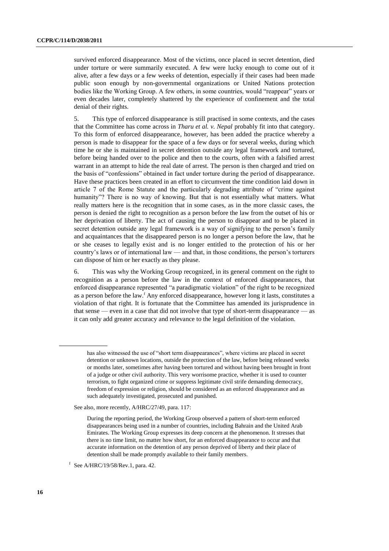survived enforced disappearance. Most of the victims, once placed in secret detention, died under torture or were summarily executed. A few were lucky enough to come out of it alive, after a few days or a few weeks of detention, especially if their cases had been made public soon enough by non-governmental organizations or United Nations protection bodies like the Working Group. A few others, in some countries, would "reappear" years or even decades later, completely shattered by the experience of confinement and the total denial of their rights.

5. This type of enforced disappearance is still practised in some contexts, and the cases that the Committee has come across in *Tharu et al. v. Nepal* probably fit into that category. To this form of enforced disappearance, however, has been added the practice whereby a person is made to disappear for the space of a few days or for several weeks, during which time he or she is maintained in secret detention outside any legal framework and tortured, before being handed over to the police and then to the courts, often with a falsified arrest warrant in an attempt to hide the real date of arrest. The person is then charged and tried on the basis of "confessions" obtained in fact under torture during the period of disappearance. Have these practices been created in an effort to circumvent the time condition laid down in article 7 of the Rome Statute and the particularly degrading attribute of "crime against humanity"? There is no way of knowing. But that is not essentially what matters. What really matters here is the recognition that in some cases, as in the more classic cases, the person is denied the right to recognition as a person before the law from the outset of his or her deprivation of liberty. The act of causing the person to disappear and to be placed in secret detention outside any legal framework is a way of signifying to the person's family and acquaintances that the disappeared person is no longer a person before the law, that he or she ceases to legally exist and is no longer entitled to the protection of his or her country's laws or of international law — and that, in those conditions, the person's torturers can dispose of him or her exactly as they please.

6. This was why the Working Group recognized, in its general comment on the right to recognition as a person before the law in the context of enforced disappearances, that enforced disappearance represented "a paradigmatic violation" of the right to be recognized as a person before the law.<sup>f</sup> Any enforced disappearance, however long it lasts, constitutes a violation of that right. It is fortunate that the Committee has amended its jurisprudence in that sense — even in a case that did not involve that type of short-term disappearance — as it can only add greater accuracy and relevance to the legal definition of the violation.

See also, more recently, A/HRC/27/49, para. 117:

During the reporting period, the Working Group observed a pattern of short-term enforced disappearances being used in a number of countries, including Bahrain and the United Arab Emirates. The Working Group expresses its deep concern at the phenomenon. It stresses that there is no time limit, no matter how short, for an enforced disappearance to occur and that accurate information on the detention of any person deprived of liberty and their place of detention shall be made promptly available to their family members.

f See A/HRC/19/58/Rev.1, para. 42.

has also witnessed the use of "short term disappearances", where victims are placed in secret detention or unknown locations, outside the protection of the law, before being released weeks or months later, sometimes after having been tortured and without having been brought in front of a judge or other civil authority. This very worrisome practice, whether it is used to counter terrorism, to fight organized crime or suppress legitimate civil strife demanding democracy, freedom of expression or religion, should be considered as an enforced disappearance and as such adequately investigated, prosecuted and punished.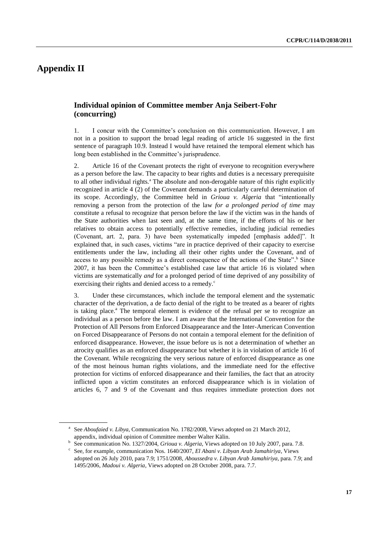# **Appendix II**

## **Individual opinion of Committee member Anja Seibert-Fohr (concurring)**

1. I concur with the Committee's conclusion on this communication. However, I am not in a position to support the broad legal reading of article 16 suggested in the first sentence of paragraph 10.9. Instead I would have retained the temporal element which has long been established in the Committee's jurisprudence.

2. Article 16 of the Covenant protects the right of everyone to recognition everywhere as a person before the law. The capacity to bear rights and duties is a necessary prerequisite to all other individual rights.<sup>a</sup> The absolute and non-derogable nature of this right explicitly recognized in article 4 (2) of the Covenant demands a particularly careful determination of its scope. Accordingly, the Committee held in *Grioua v. Algeria* that "intentionally removing a person from the protection of the law *for a prolonged period of time* may constitute a refusal to recognize that person before the law if the victim was in the hands of the State authorities when last seen and, at the same time, if the efforts of his or her relatives to obtain access to potentially effective remedies, including judicial remedies (Covenant, art. 2, para. 3) have been systematically impeded [emphasis added]". It explained that, in such cases, victims "are in practice deprived of their capacity to exercise entitlements under the law, including all their other rights under the Covenant, and of access to any possible remedy as a direct consequence of the actions of the State".<sup>b</sup> Since 2007, it has been the Committee's established case law that article 16 is violated when victims are systematically *and* for a prolonged period of time deprived of any possibility of exercising their rights and denied access to a remedy.<sup>c</sup>

3. Under these circumstances, which include the temporal element and the systematic character of the deprivation, a de facto denial of the right to be treated as a bearer of rights is taking place.<sup>a</sup> The temporal element is evidence of the refusal per se to recognize an individual as a person before the law. I am aware that the International Convention for the Protection of All Persons from Enforced Disappearance and the Inter-American Convention on Forced Disappearance of Persons do not contain a temporal element for the definition of enforced disappearance. However, the issue before us is not a determination of whether an atrocity qualifies as an enforced disappearance but whether it is in violation of article 16 of the Covenant. While recognizing the very serious nature of enforced disappearance as one of the most heinous human rights violations, and the immediate need for the effective protection for victims of enforced disappearance and their families, the fact that an atrocity inflicted upon a victim constitutes an enforced disappearance which is in violation of articles 6, 7 and 9 of the Covenant and thus requires immediate protection does not

<sup>&</sup>lt;sup>a</sup> See *Aboufaied v. Libya*, Communication No. 1782/2008, Views adopted on 21 March 2012, appendix, individual opinion of Committee member Walter Kälin.

<sup>&</sup>lt;sup>b</sup> See communication No. 1327/2004, *Grioua v. Algeria*, Views adopted on 10 July 2007, para. 7.8.

See, for example, communication Nos. 1640/2007, *El Abani v. Libyan Arab Jamahiriya*, Views adopted on 26 July 2010, para 7.9; 1751/2008, *Aboussedra v. Libyan Arab Jamahiriya*, para. 7.9; and 1495/2006, *Madoui v. Algeria*, Views adopted on 28 October 2008, para. 7.7.